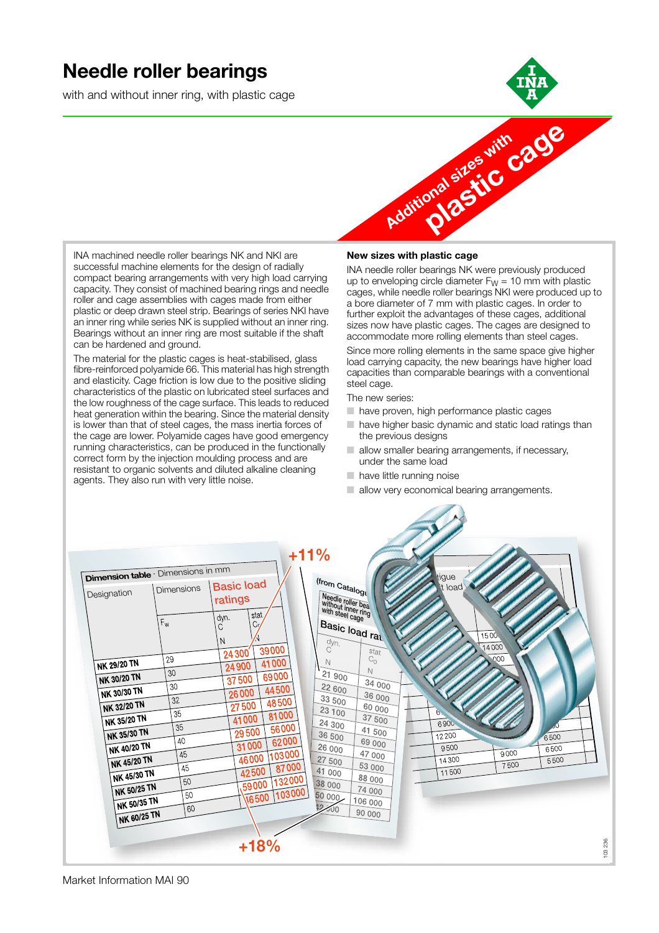### **Needle roller bearings**

with and without inner ring, with plastic cage





INA machined needle roller bearings NK and NKI are successful machine elements for the design of radially compact bearing arrangements with very high load carrying capacity. They consist of machined bearing rings and needle roller and cage assemblies with cages made from either plastic or deep drawn steel strip. Bearings of series NKI have an inner ring while series NK is supplied without an inner ring. Bearings without an inner ring are most suitable if the shaft can be hardened and ground.

The material for the plastic cages is heat-stabilised, glass fibre-reinforced polyamide 66. This material has high strength and elasticity. Cage friction is low due to the positive sliding characteristics of the plastic on lubricated steel surfaces and the low roughness of the cage surface. This leads to reduced heat generation within the bearing. Since the material density is lower than that of steel cages, the mass inertia forces of the cage are lower. Polyamide cages have good emergency running characteristics, can be produced in the functionally correct form by the injection moulding process and are resistant to organic solvents and diluted alkaline cleaning agents. They also run with very little noise.

#### **New sizes with plastic cage**

INA needle roller bearings NK were previously produced up to enveloping circle diameter  $F_W = 10$  mm with plastic cages, while needle roller bearings NKI were produced up to a bore diameter of 7 mm with plastic cages. In order to further exploit the advantages of these cages, additional sizes now have plastic cages. The cages are designed to accommodate more rolling elements than steel cages.

Since more rolling elements in the same space give higher load carrying capacity, the new bearings have higher load capacities than comparable bearings with a conventional steel cage.

The new series:

- have proven, high performance plastic cages
- have higher basic dynamic and static load ratings than the previous designs
- $\Box$  allow smaller bearing arrangements, if necessary, under the same load
- have little running noise
- allow very economical bearing arrangements.

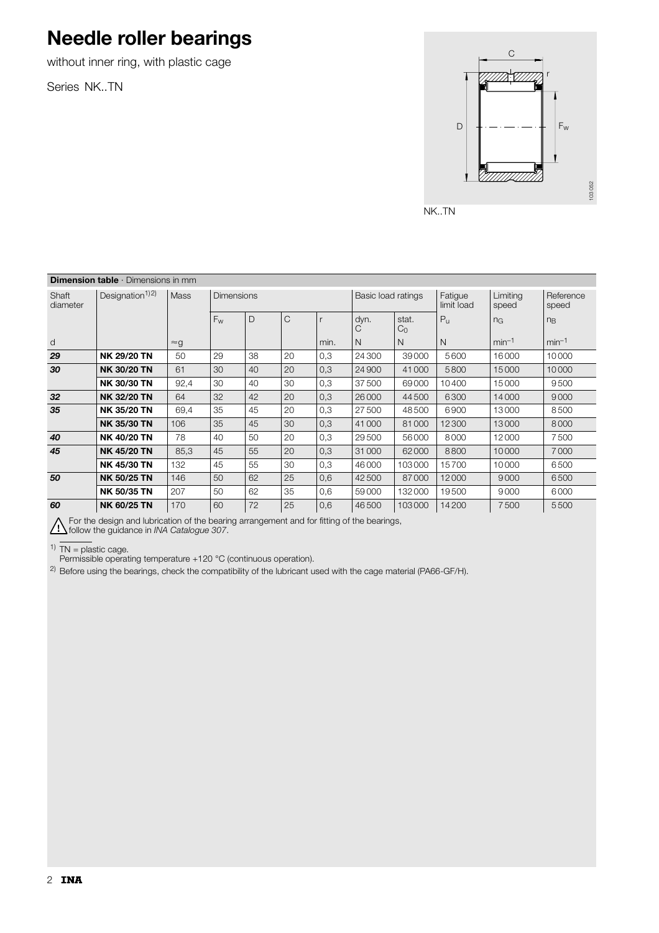# **Needle roller bearings**

without inner ring, with plastic cage

Series NK..TN



NK..TN

| <b>Dimension table</b> $\cdot$ Dimensions in mm |                             |             |                   |    |    |      |                    |                         |                       |                   |                    |
|-------------------------------------------------|-----------------------------|-------------|-------------------|----|----|------|--------------------|-------------------------|-----------------------|-------------------|--------------------|
| Shaft<br>diameter                               | Designation <sup>1)2)</sup> | Mass        | <b>Dimensions</b> |    |    |      | Basic load ratings |                         | Fatigue<br>limit load | Limiting<br>speed | Reference<br>speed |
|                                                 |                             |             | $F_{w}$           | D  | C  |      | dyn.<br>С          | stat.<br>C <sub>0</sub> | $P_{\rm U}$           | n <sub>G</sub>    | $n_{B}$            |
| d                                               |                             | $\approx g$ |                   |    |    | min. | N                  | N                       | $\mathsf{N}$          | $min-1$           | $min-1$            |
| 29                                              | <b>NK 29/20 TN</b>          | 50          | 29                | 38 | 20 | 0,3  | 24 300             | 39000                   | 5600                  | 16000             | 10000              |
| 30                                              | <b>NK 30/20 TN</b>          | 61          | 30                | 40 | 20 | 0,3  | 24900              | 41000                   | 5800                  | 15000             | 10000              |
|                                                 | <b>NK 30/30 TN</b>          | 92,4        | 30                | 40 | 30 | 0,3  | 37500              | 69000                   | 10400                 | 15000             | 9500               |
| 32                                              | <b>NK 32/20 TN</b>          | 64          | 32                | 42 | 20 | 0,3  | 26000              | 44500                   | 6300                  | 14000             | 9000               |
| 35                                              | <b>NK 35/20 TN</b>          | 69,4        | 35                | 45 | 20 | 0,3  | 27500              | 48500                   | 6900                  | 13000             | 8500               |
|                                                 | <b>NK 35/30 TN</b>          | 106         | 35                | 45 | 30 | 0,3  | 41000              | 81000                   | 12300                 | 13000             | 8000               |
| 40                                              | <b>NK 40/20 TN</b>          | 78          | 40                | 50 | 20 | 0,3  | 29500              | 56000                   | 8000                  | 12000             | 7500               |
| 45                                              | <b>NK 45/20 TN</b>          | 85,3        | 45                | 55 | 20 | 0,3  | 31000              | 62000                   | 8800                  | 10000             | 7000               |
|                                                 | <b>NK 45/30 TN</b>          | 132         | 45                | 55 | 30 | 0,3  | 46000              | 103000                  | 15700                 | 10000             | 6500               |
| 50                                              | <b>NK 50/25 TN</b>          | 146         | 50                | 62 | 25 | 0,6  | 42500              | 87000                   | 12000                 | 9000              | 6500               |
|                                                 | <b>NK 50/35 TN</b>          | 207         | 50                | 62 | 35 | 0,6  | 59000              | 132000                  | 19500                 | 9000              | 6000               |
| 60                                              | <b>NK 60/25 TN</b>          | 170         | 60                | 72 | 25 | 0,6  | 46500              | 103000                  | 14200                 | 7500              | 5500               |

For the design and lubrication of the bearing arrangement and for fitting of the bearings,

follow the guidance in *INA Catalogue 307*.

<sup>1)</sup> TN = plastic cage.

Permissible operating temperature +120 °C (continuous operation).

<sup>2)</sup> Before using the bearings, check the compatibility of the lubricant used with the cage material (PA66-GF/H).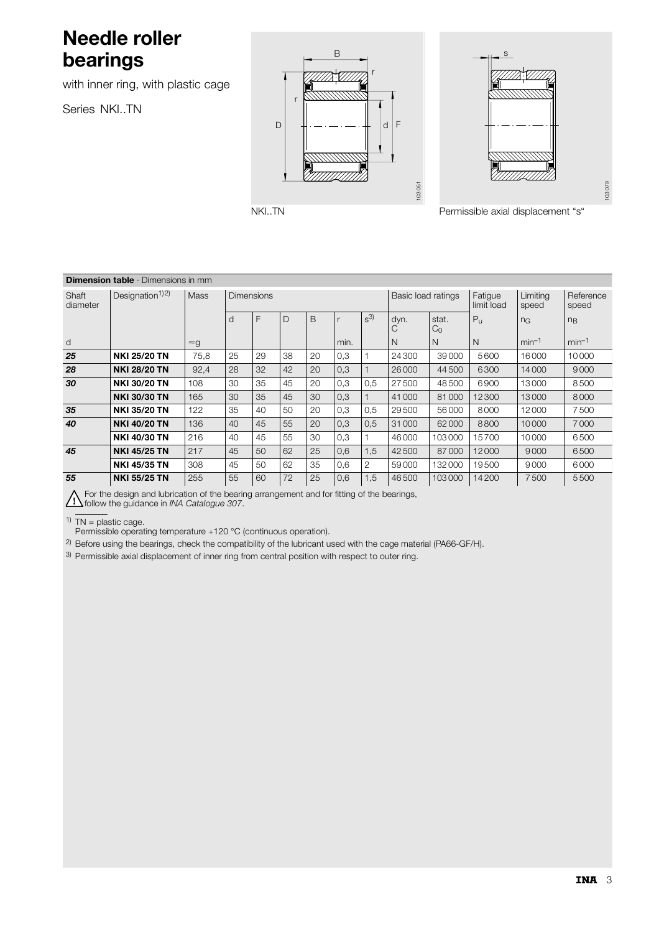## **Needle roller bearings**

with inner ring, with plastic cage

Series NKI..TN





NKI..TN Permissible axial displacement "s"

| <b>Dimension table</b> $\cdot$ Dimensions in mm |                             |             |                   |    |    |    |      |                |                    |                         |                       |                   |                    |
|-------------------------------------------------|-----------------------------|-------------|-------------------|----|----|----|------|----------------|--------------------|-------------------------|-----------------------|-------------------|--------------------|
| Shaft<br>diameter                               | Designation <sup>1)2)</sup> | Mass        | <b>Dimensions</b> |    |    |    |      |                | Basic load ratings |                         | Fatigue<br>limit load | Limiting<br>speed | Reference<br>speed |
|                                                 |                             |             | d                 | F  | D  | B  |      | $S^{3}$        | dyn.<br>С          | stat.<br>C <sub>0</sub> | $P_{\rm H}$           | n <sub>G</sub>    | $n_{B}$            |
| d                                               |                             | $\approx g$ |                   |    |    |    | min. |                | N                  | N                       | N                     | $min-1$           | $min-1$            |
| 25                                              | <b>NKI 25/20 TN</b>         | 75,8        | 25                | 29 | 38 | 20 | 0,3  |                | 24 300             | 39000                   | 5600                  | 16000             | 10000              |
| 28                                              | <b>NKI 28/20 TN</b>         | 92,4        | 28                | 32 | 42 | 20 | 0,3  |                | 26 000             | 44500                   | 6300                  | 14000             | 9000               |
| 30                                              | <b>NKI 30/20 TN</b>         | 108         | 30                | 35 | 45 | 20 | 0,3  | 0,5            | 27500              | 48500                   | 6900                  | 13000             | 8500               |
|                                                 | <b>NKI 30/30 TN</b>         | 165         | 30                | 35 | 45 | 30 | 0,3  |                | 41 000             | 81000                   | 12300                 | 13000             | 8000               |
| 35                                              | <b>NKI 35/20 TN</b>         | 122         | 35                | 40 | 50 | 20 | 0,3  | 0,5            | 29500              | 56000                   | 8000                  | 12000             | 7500               |
| 40                                              | <b>NKI 40/20 TN</b>         | 136         | 40                | 45 | 55 | 20 | 0,3  | 0,5            | 31 000             | 62000                   | 8800                  | 10000             | 7000               |
|                                                 | <b>NKI 40/30 TN</b>         | 216         | 40                | 45 | 55 | 30 | 0,3  |                | 46 000             | 103000                  | 15700                 | 10000             | 6500               |
| 45                                              | <b>NKI 45/25 TN</b>         | 217         | 45                | 50 | 62 | 25 | 0,6  | 1,5            | 42 500             | 87000                   | 12000                 | 9000              | 6500               |
|                                                 | <b>NKI 45/35 TN</b>         | 308         | 45                | 50 | 62 | 35 | 0,6  | $\overline{2}$ | 59000              | 132000                  | 19500                 | 9000              | 6000               |
| 55                                              | <b>NKI 55/25 TN</b>         | 255         | 55                | 60 | 72 | 25 | 0,6  | 1,5            | 46500              | 103000                  | 14200                 | 7500              | 5500               |

For the design and lubrication of the bearing arrangement and for fitting of the bearings,

follow the guidance in *INA Catalogue 307*.

 $1)$  TN = plastic cage.

Permissible operating temperature +120 °C (continuous operation).

2) Before using the bearings, check the compatibility of the lubricant used with the cage material (PA66-GF/H).

3) Permissible axial displacement of inner ring from central position with respect to outer ring.